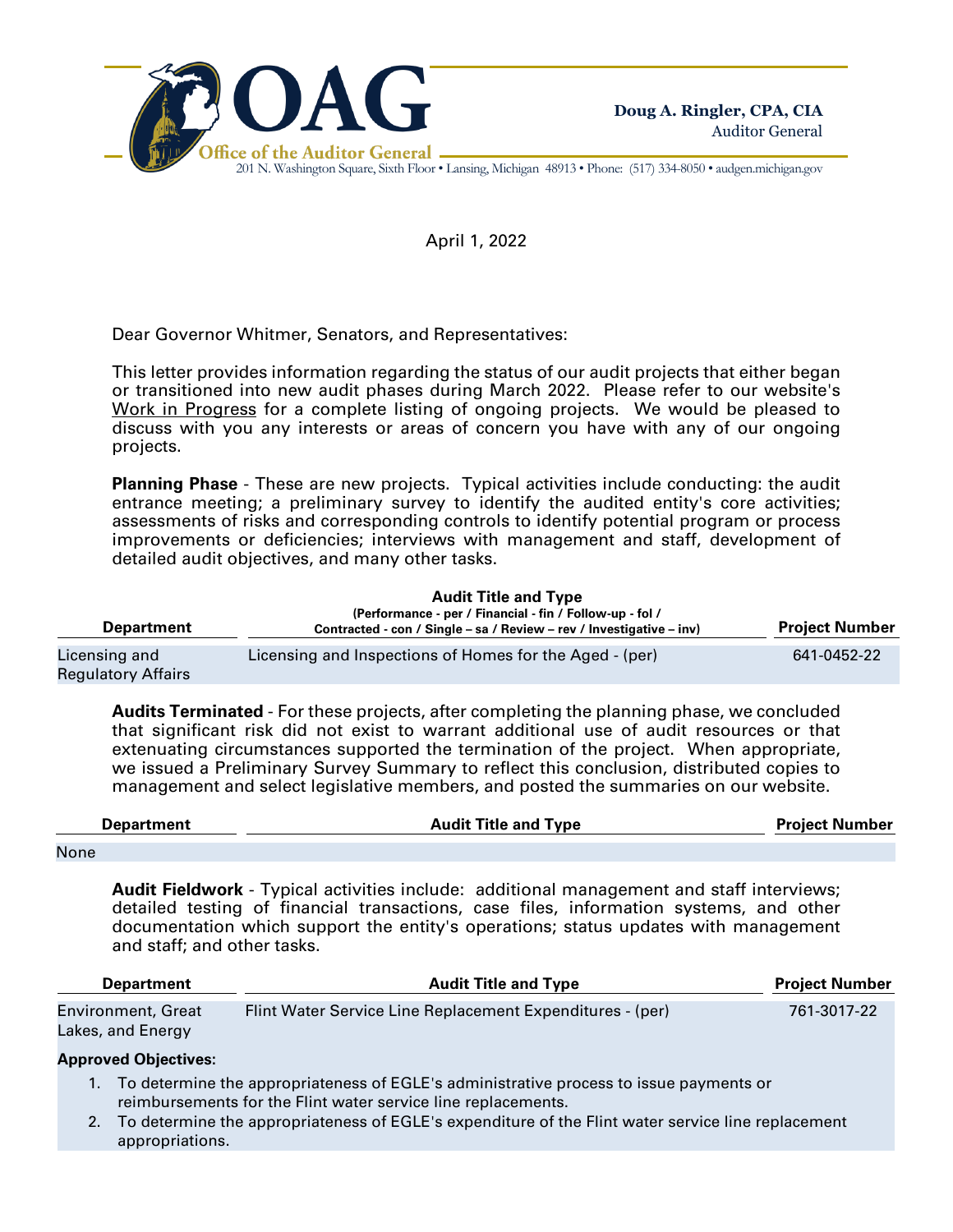

201 N. Washington Square, Sixth Floor • Lansing, Michigan 48913 • Phone: (517) 334-8050 • audgen.michigan.gov

April 1, 2022

Dear Governor Whitmer, Senators, and Representatives:

This letter provides information regarding the status of our audit projects that either began or transitioned into new audit phases during March 2022. Please refer to our website's Work in Progress for a complete listing of ongoing projects. We would be pleased to discuss with you any interests or areas of concern you have with any of our ongoing projects.

**Planning Phase** - These are new projects. Typical activities include conducting: the audit entrance meeting; a preliminary survey to identify the audited entity's core activities; assessments of risks and corresponding controls to identify potential program or process improvements or deficiencies; interviews with management and staff, development of detailed audit objectives, and many other tasks.

| <b>Department</b>                          | <b>Audit Title and Type</b><br>(Performance - per / Financial - fin / Follow-up - fol /<br>Contracted - con / Single – sa / Review – rev / Investigative – inv) | <b>Project Number</b> |
|--------------------------------------------|-----------------------------------------------------------------------------------------------------------------------------------------------------------------|-----------------------|
| Licensing and<br><b>Regulatory Affairs</b> | Licensing and Inspections of Homes for the Aged - (per)                                                                                                         | 641-0452-22           |

**Audits Terminated** - For these projects, after completing the planning phase, we concluded that significant risk did not exist to warrant additional use of audit resources or that extenuating circumstances supported the termination of the project. When appropriate, we issued a Preliminary Survey Summary to reflect this conclusion, distributed copies to management and select legislative members, and posted the summaries on our website.

| <b>Department</b> | <b>Audit Title and Type</b> | <b>Project Number</b> |  |
|-------------------|-----------------------------|-----------------------|--|
| <b>None</b>       |                             |                       |  |

**Audit Fieldwork** - Typical activities include: additional management and staff interviews; detailed testing of financial transactions, case files, information systems, and other documentation which support the entity's operations; status updates with management and staff; and other tasks.

| <b>Department</b>         | <b>Project Number</b>                                     |             |
|---------------------------|-----------------------------------------------------------|-------------|
| <b>Environment, Great</b> | Flint Water Service Line Replacement Expenditures - (per) | 761-3017-22 |
| Lakes, and Energy         |                                                           |             |

## **Approved Objectives:**

- 1. To determine the appropriateness of EGLE's administrative process to issue payments or reimbursements for the Flint water service line replacements.
- 2. To determine the appropriateness of EGLE's expenditure of the Flint water service line replacement appropriations.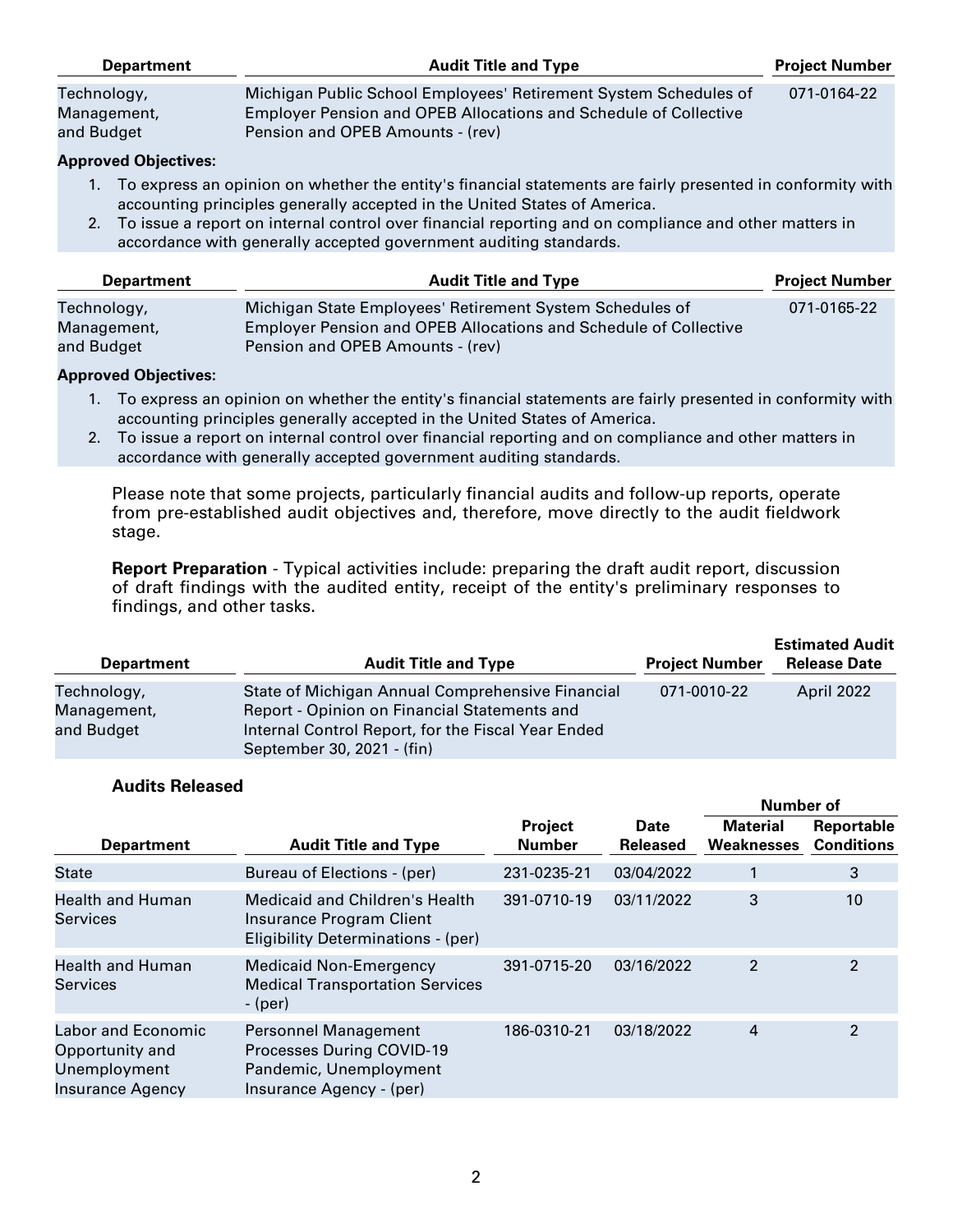| <b>Department</b>                        | <b>Audit Title and Type</b>                                                                                                                                              | <b>Project Number</b> |
|------------------------------------------|--------------------------------------------------------------------------------------------------------------------------------------------------------------------------|-----------------------|
| Technology,<br>Management,<br>and Budget | Michigan Public School Employees' Retirement System Schedules of<br>Employer Pension and OPEB Allocations and Schedule of Collective<br>Pension and OPEB Amounts - (rev) | 071-0164-22           |
| Annroved Ohiectives:                     |                                                                                                                                                                          |                       |

## **Approved Objectives:**

- 1. To express an opinion on whether the entity's financial statements are fairly presented in conformity with accounting principles generally accepted in the United States of America.
- 2. To issue a report on internal control over financial reporting and on compliance and other matters in accordance with generally accepted government auditing standards.

| <b>Department</b>                        | <b>Audit Title and Type</b>                                                                                                                                             | <b>Project Number</b> |
|------------------------------------------|-------------------------------------------------------------------------------------------------------------------------------------------------------------------------|-----------------------|
| Technology,<br>Management,<br>and Budget | Michigan State Employees' Retirement System Schedules of<br><b>Employer Pension and OPEB Allocations and Schedule of Collective</b><br>Pension and OPEB Amounts - (rev) | 071-0165-22           |

#### **Approved Objectives:**

- 1. To express an opinion on whether the entity's financial statements are fairly presented in conformity with accounting principles generally accepted in the United States of America.
- 2. To issue a report on internal control over financial reporting and on compliance and other matters in accordance with generally accepted government auditing standards.

Please note that some projects, particularly financial audits and follow-up reports, operate from pre-established audit objectives and, therefore, move directly to the audit fieldwork stage.

**Report Preparation** - Typical activities include: preparing the draft audit report, discussion of draft findings with the audited entity, receipt of the entity's preliminary responses to findings, and other tasks.

| <b>Department</b>                        | <b>Audit Title and Type</b>                                                                                                                                                          | <b>Project Number</b> | <b>Estimated Audit</b><br><b>Release Date</b> |
|------------------------------------------|--------------------------------------------------------------------------------------------------------------------------------------------------------------------------------------|-----------------------|-----------------------------------------------|
| Technology,<br>Management,<br>and Budget | State of Michigan Annual Comprehensive Financial<br>Report - Opinion on Financial Statements and<br>Internal Control Report, for the Fiscal Year Ended<br>September 30, 2021 - (fin) | 071-0010-22           | April 2022                                    |

**Number of**

## **Audits Released**

|                                                                           |                                                                                                                |                          |                         | <b>INUITIDEL OF</b>                  |                                 |
|---------------------------------------------------------------------------|----------------------------------------------------------------------------------------------------------------|--------------------------|-------------------------|--------------------------------------|---------------------------------|
| <b>Department</b>                                                         | <b>Audit Title and Type</b>                                                                                    | Project<br><b>Number</b> | Date<br><b>Released</b> | <b>Material</b><br><b>Weaknesses</b> | Reportable<br><b>Conditions</b> |
| <b>State</b>                                                              | Bureau of Elections - (per)                                                                                    | 231-0235-21              | 03/04/2022              |                                      | 3                               |
| <b>Health and Human</b><br>Services                                       | <b>Medicaid and Children's Health</b><br>Insurance Program Client<br>Eligibility Determinations - (per)        | 391-0710-19              | 03/11/2022              | 3                                    | 10                              |
| <b>Health and Human</b><br>Services                                       | <b>Medicaid Non-Emergency</b><br><b>Medical Transportation Services</b><br>$-(per)$                            | 391-0715-20              | 03/16/2022              | 2                                    | $\mathfrak{p}$                  |
| Labor and Economic<br>Opportunity and<br>Unemployment<br>Insurance Agency | Personnel Management<br><b>Processes During COVID-19</b><br>Pandemic, Unemployment<br>Insurance Agency - (per) | 186-0310-21              | 03/18/2022              | 4                                    | 2                               |